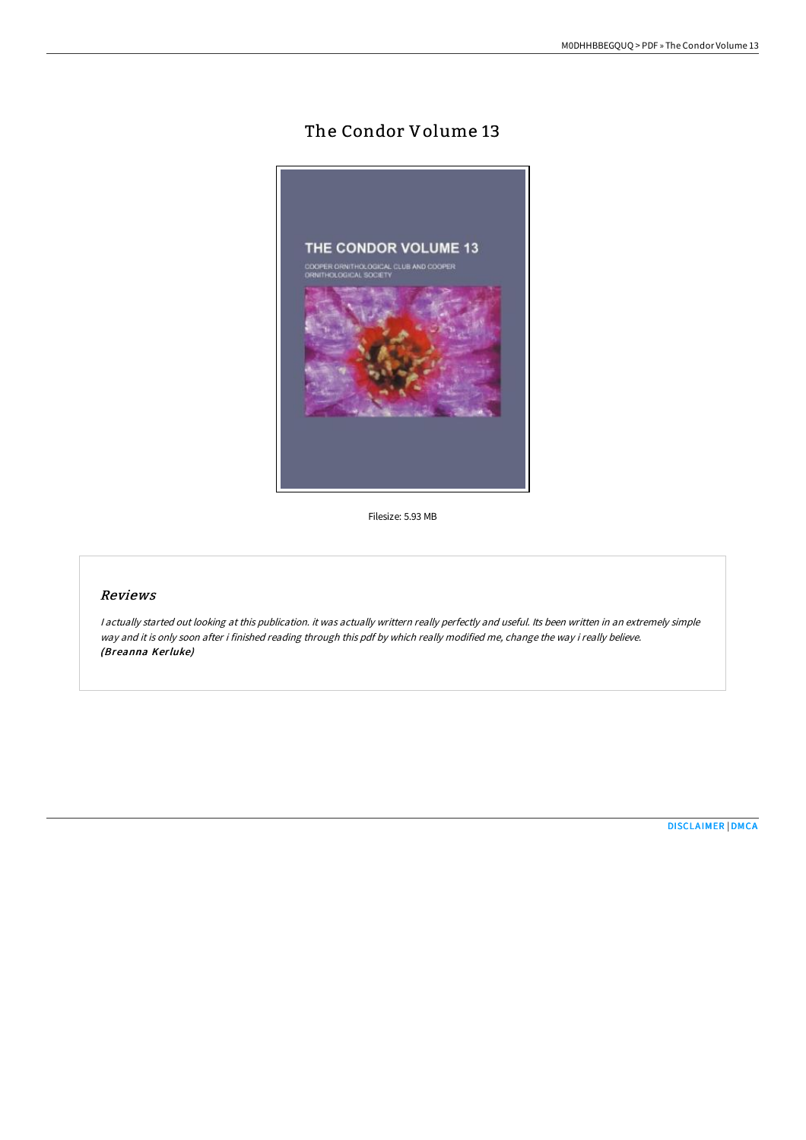## The Condor Volume 13



Filesize: 5.93 MB

## Reviews

<sup>I</sup> actually started out looking at this publication. it was actually writtern really perfectly and useful. Its been written in an extremely simple way and it is only soon after i finished reading through this pdf by which really modified me, change the way i really believe. (Breanna Kerluke)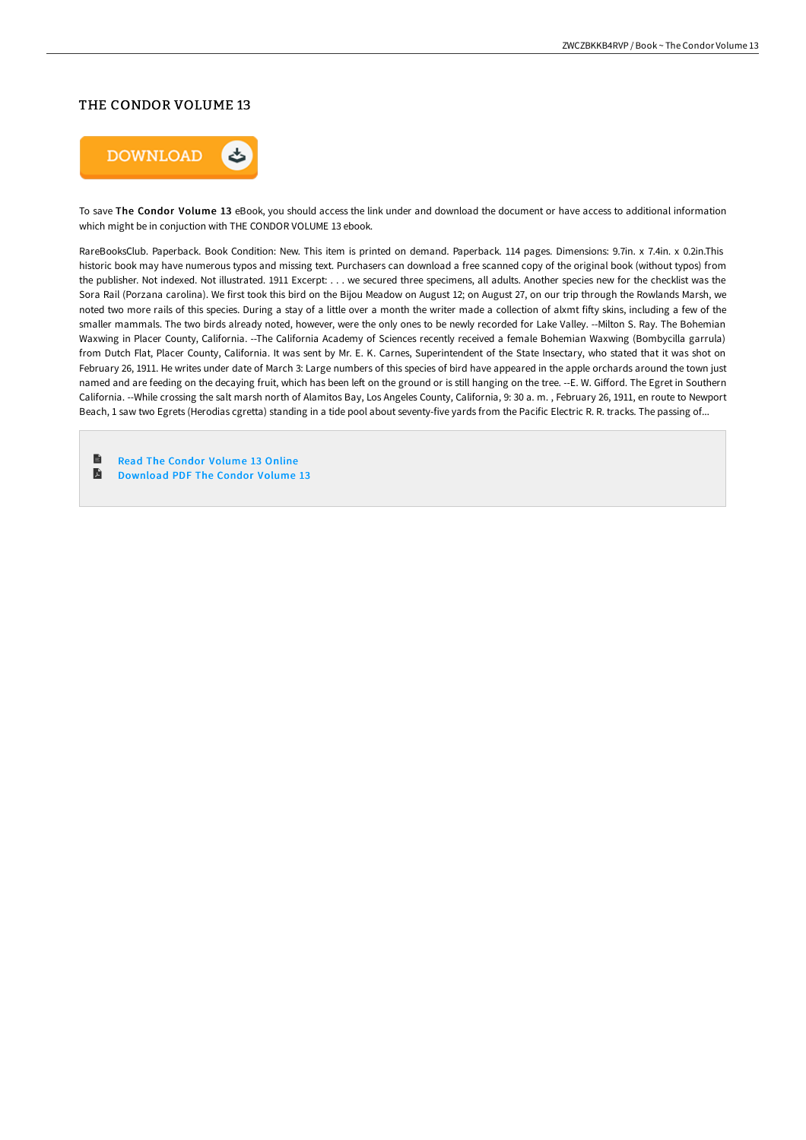## THE CONDOR VOLUME 13



To save The Condor Volume 13 eBook, you should access the link under and download the document or have access to additional information which might be in conjuction with THE CONDOR VOLUME 13 ebook.

RareBooksClub. Paperback. Book Condition: New. This item is printed on demand. Paperback. 114 pages. Dimensions: 9.7in. x 7.4in. x 0.2in.This historic book may have numerous typos and missing text. Purchasers can download a free scanned copy of the original book (without typos) from the publisher. Not indexed. Not illustrated. 1911 Excerpt: . . . we secured three specimens, all adults. Another species new for the checklist was the Sora Rail (Porzana carolina). We first took this bird on the Bijou Meadow on August 12; on August 27, on our trip through the Rowlands Marsh, we noted two more rails of this species. During a stay of a little over a month the writer made a collection of alxmt fifty skins, including a few of the smaller mammals. The two birds already noted, however, were the only ones to be newly recorded for Lake Valley. --Milton S. Ray. The Bohemian Waxwing in Placer County, California. --The California Academy of Sciences recently received a female Bohemian Waxwing (Bombycilla garrula) from Dutch Flat, Placer County, California. It was sent by Mr. E. K. Carnes, Superintendent of the State Insectary, who stated that it was shot on February 26, 1911. He writes under date of March 3: Large numbers of this species of bird have appeared in the apple orchards around the town just named and are feeding on the decaying fruit, which has been left on the ground or is still hanging on the tree. --E. W. Gifford. The Egret in Southern California. --While crossing the salt marsh north of Alamitos Bay, Los Angeles County, California, 9: 30 a. m. , February 26, 1911, en route to Newport Beach, 1 saw two Egrets (Herodias cgretta) standing in a tide pool about seventy-five yards from the Pacific Electric R. R. tracks. The passing of...

**D** Read The Condor [Volume](http://bookera.tech/the-condor-volume-13.html) 13 Online A [Download](http://bookera.tech/the-condor-volume-13.html) PDF The Condor Volume 13